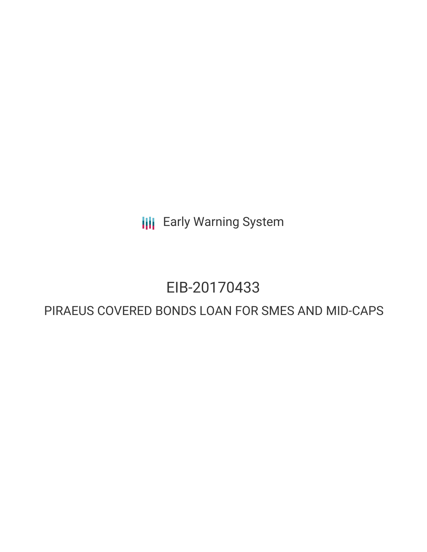**III** Early Warning System

# EIB-20170433

# PIRAEUS COVERED BONDS LOAN FOR SMES AND MID-CAPS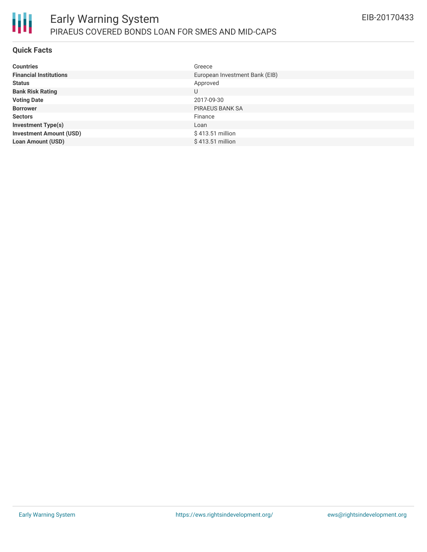

#### **Quick Facts**

| <b>Countries</b>               | Greece                         |
|--------------------------------|--------------------------------|
| <b>Financial Institutions</b>  | European Investment Bank (EIB) |
| <b>Status</b>                  | Approved                       |
| <b>Bank Risk Rating</b>        | U                              |
| <b>Voting Date</b>             | 2017-09-30                     |
| <b>Borrower</b>                | PIRAEUS BANK SA                |
| <b>Sectors</b>                 | Finance                        |
| <b>Investment Type(s)</b>      | Loan                           |
| <b>Investment Amount (USD)</b> | \$413.51 million               |
| <b>Loan Amount (USD)</b>       | \$413.51 million               |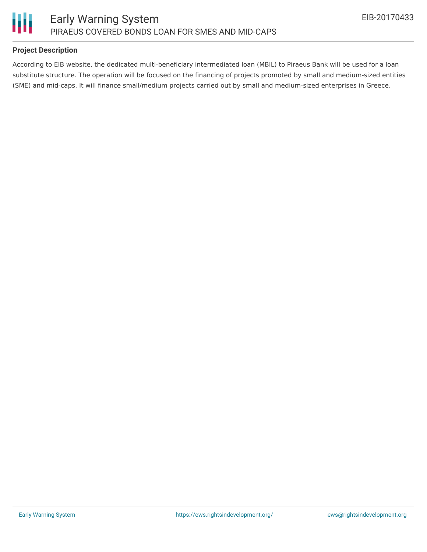

## **Project Description**

According to EIB website, the dedicated multi-beneficiary intermediated loan (MBIL) to Piraeus Bank will be used for a loan substitute structure. The operation will be focused on the financing of projects promoted by small and medium-sized entities (SME) and mid-caps. It will finance small/medium projects carried out by small and medium-sized enterprises in Greece.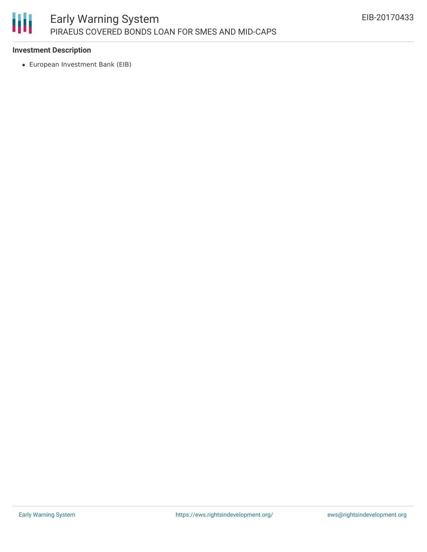

## **Investment Description**

European Investment Bank (EIB)